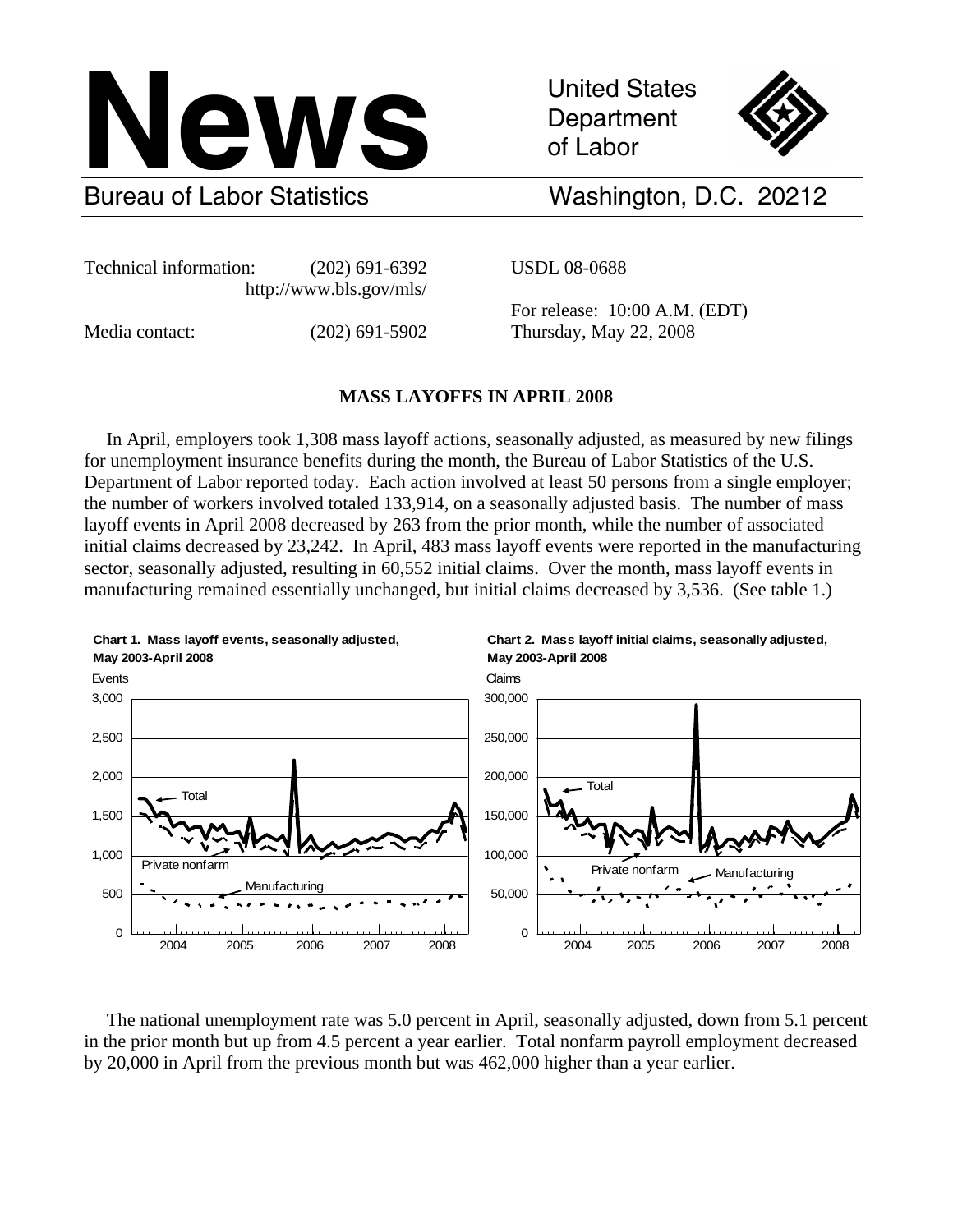

Department of Labor



# Bureau of Labor Statistics Washington, D.C. 20212

| Technical information: | $(202)$ 691-6392        |
|------------------------|-------------------------|
|                        | http://www.bls.gov/mls/ |

USDL 08-0688

 For release: 10:00 A.M. (EDT) Media contact: (202) 691-5902 Thursday, May 22, 2008

# **MASS LAYOFFS IN APRIL 2008**

In April, employers took 1,308 mass layoff actions, seasonally adjusted, as measured by new filings for unemployment insurance benefits during the month, the Bureau of Labor Statistics of the U.S. Department of Labor reported today. Each action involved at least 50 persons from a single employer; the number of workers involved totaled 133,914, on a seasonally adjusted basis. The number of mass layoff events in April 2008 decreased by 263 from the prior month, while the number of associated initial claims decreased by 23,242. In April, 483 mass layoff events were reported in the manufacturing sector, seasonally adjusted, resulting in 60,552 initial claims. Over the month, mass layoff events in manufacturing remained essentially unchanged, but initial claims decreased by 3,536. (See table 1.)



The national unemployment rate was 5.0 percent in April, seasonally adjusted, down from 5.1 percent in the prior month but up from 4.5 percent a year earlier. Total nonfarm payroll employment decreased by 20,000 in April from the previous month but was 462,000 higher than a year earlier.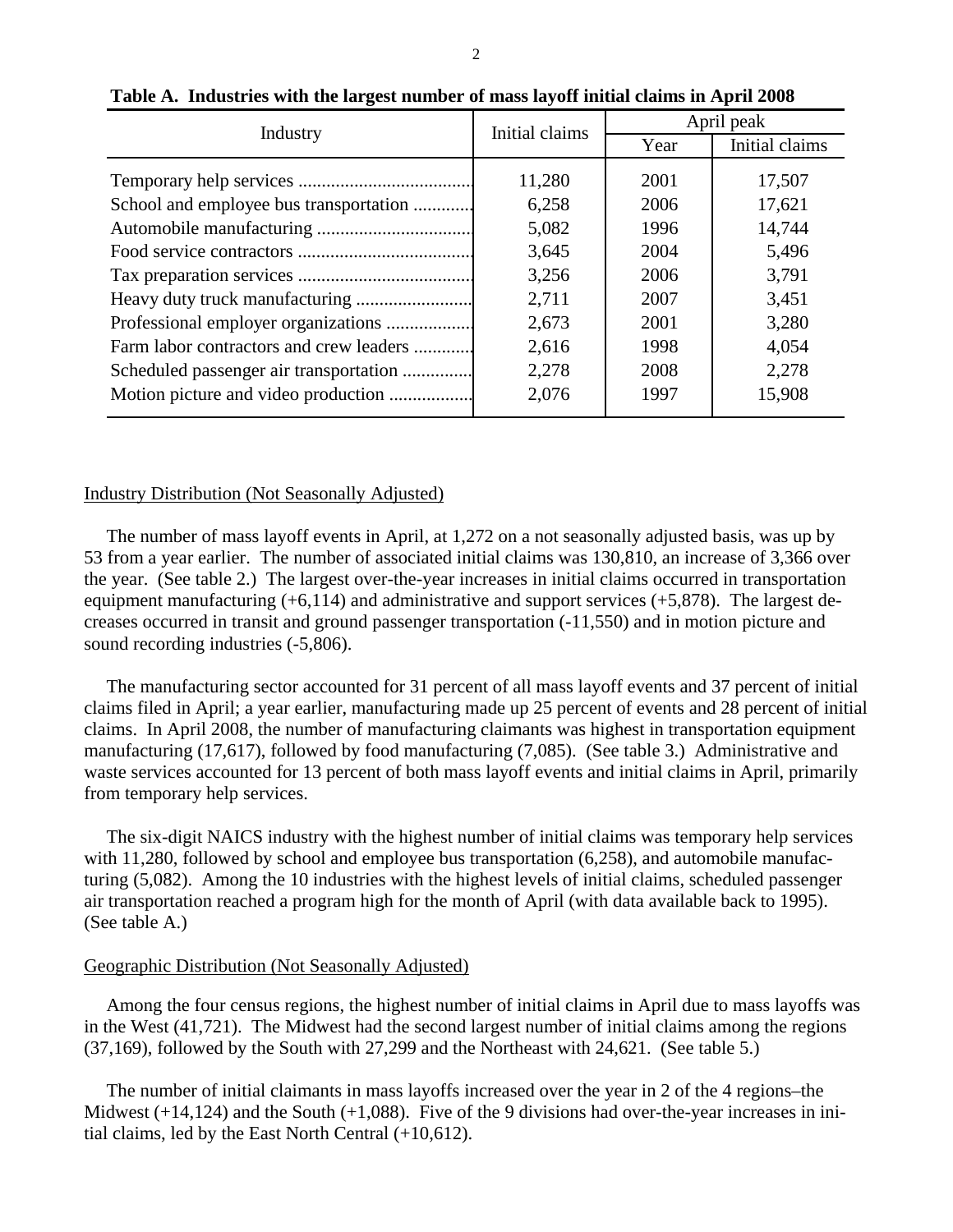|                                         | Initial claims | April peak |                |  |  |
|-----------------------------------------|----------------|------------|----------------|--|--|
| Industry                                |                | Year       | Initial claims |  |  |
|                                         | 11,280         | 2001       | 17,507         |  |  |
| School and employee bus transportation  | 6,258          | 2006       | 17,621         |  |  |
|                                         | 5,082          | 1996       | 14,744         |  |  |
|                                         | 3,645          | 2004       | 5,496          |  |  |
|                                         | 3,256          | 2006       | 3,791          |  |  |
|                                         | 2,711          | 2007       | 3,451          |  |  |
| Professional employer organizations     | 2,673          | 2001       | 3,280          |  |  |
| Farm labor contractors and crew leaders | 2,616          | 1998       | 4,054          |  |  |
| Scheduled passenger air transportation  | 2,278          | 2008       | 2,278          |  |  |
| Motion picture and video production     | 2,076          | 1997       | 15,908         |  |  |

**Table A. Industries with the largest number of mass layoff initial claims in April 2008**

## Industry Distribution (Not Seasonally Adjusted)

The number of mass layoff events in April, at 1,272 on a not seasonally adjusted basis, was up by 53 from a year earlier. The number of associated initial claims was 130,810, an increase of 3,366 over the year. (See table 2.) The largest over-the-year increases in initial claims occurred in transportation equipment manufacturing  $(+6,114)$  and administrative and support services  $(+5,878)$ . The largest decreases occurred in transit and ground passenger transportation (-11,550) and in motion picture and sound recording industries (-5,806).

The manufacturing sector accounted for 31 percent of all mass layoff events and 37 percent of initial claims filed in April; a year earlier, manufacturing made up 25 percent of events and 28 percent of initial claims. In April 2008, the number of manufacturing claimants was highest in transportation equipment manufacturing (17,617), followed by food manufacturing (7,085). (See table 3.) Administrative and waste services accounted for 13 percent of both mass layoff events and initial claims in April, primarily from temporary help services.

The six-digit NAICS industry with the highest number of initial claims was temporary help services with 11,280, followed by school and employee bus transportation (6,258), and automobile manufacturing (5,082). Among the 10 industries with the highest levels of initial claims, scheduled passenger air transportation reached a program high for the month of April (with data available back to 1995). (See table A.)

# Geographic Distribution (Not Seasonally Adjusted)

Among the four census regions, the highest number of initial claims in April due to mass layoffs was in the West (41,721). The Midwest had the second largest number of initial claims among the regions (37,169), followed by the South with 27,299 and the Northeast with 24,621. (See table 5.)

The number of initial claimants in mass layoffs increased over the year in 2 of the 4 regions–the Midwest (+14,124) and the South (+1,088). Five of the 9 divisions had over-the-year increases in initial claims, led by the East North Central (+10,612).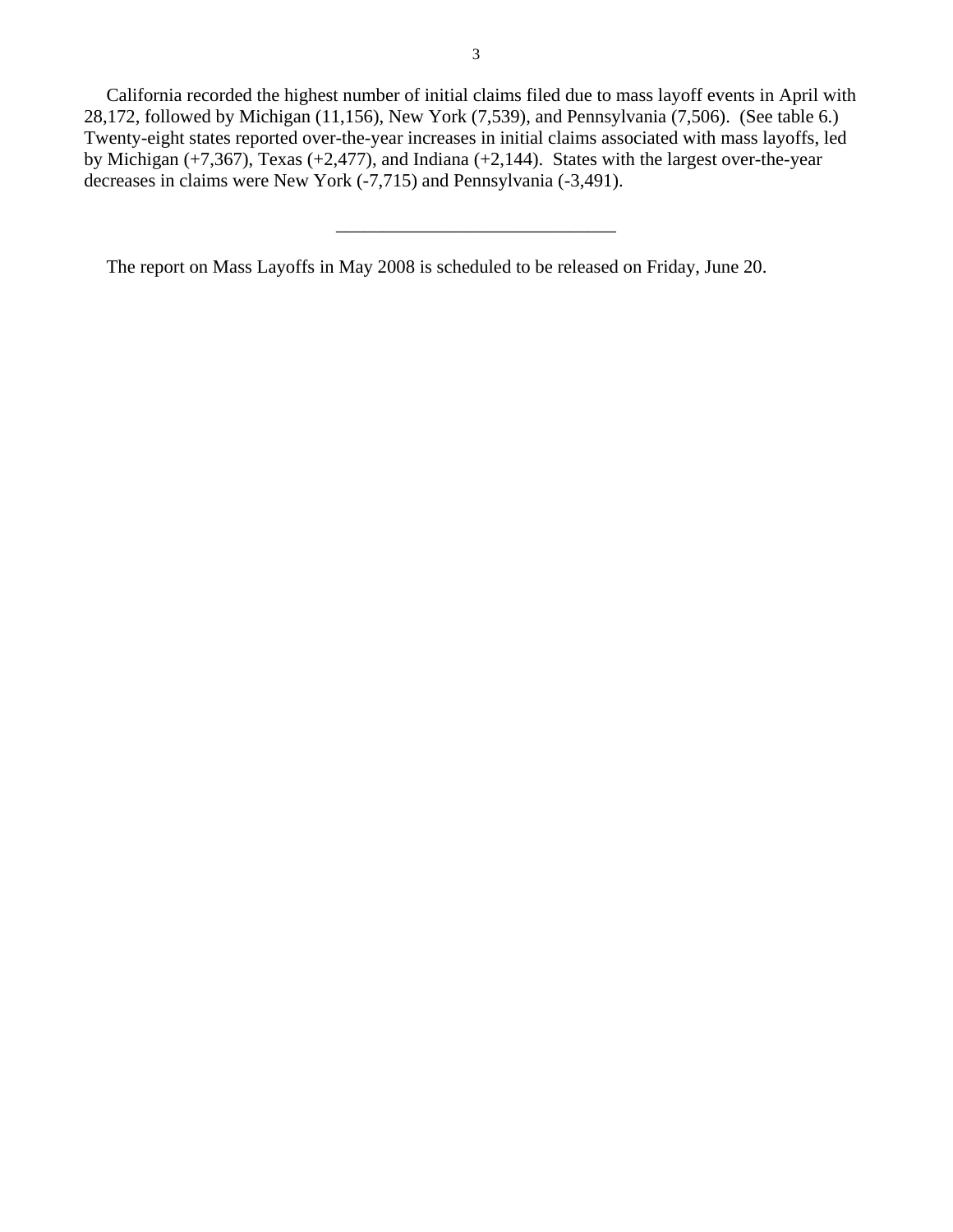California recorded the highest number of initial claims filed due to mass layoff events in April with 28,172, followed by Michigan (11,156), New York (7,539), and Pennsylvania (7,506). (See table 6.) Twenty-eight states reported over-the-year increases in initial claims associated with mass layoffs, led by Michigan (+7,367), Texas (+2,477), and Indiana (+2,144). States with the largest over-the-year decreases in claims were New York (-7,715) and Pennsylvania (-3,491).

\_\_\_\_\_\_\_\_\_\_\_\_\_\_\_\_\_\_\_\_\_\_\_\_\_\_\_\_\_\_

The report on Mass Layoffs in May 2008 is scheduled to be released on Friday, June 20.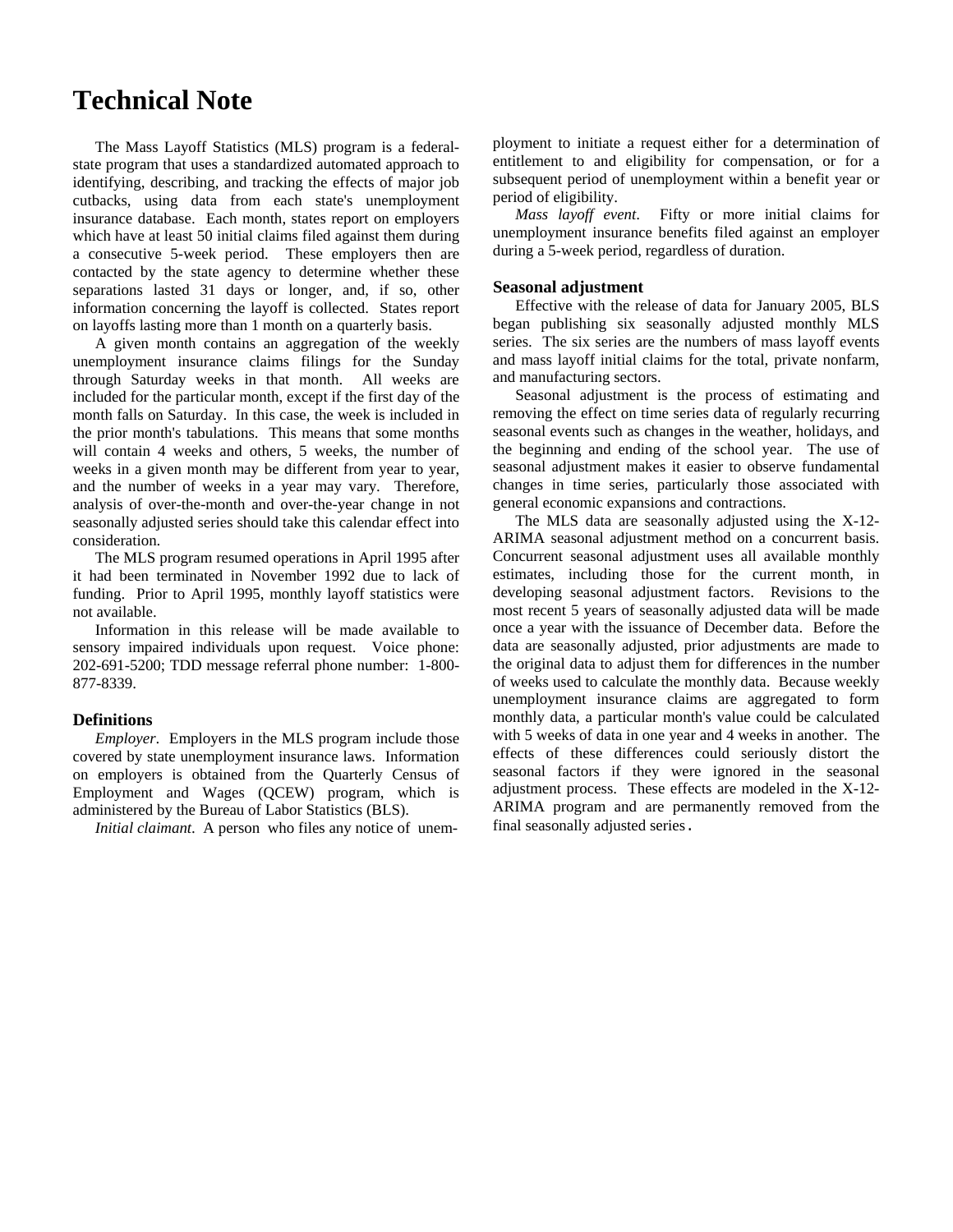# **Technical Note**

The Mass Layoff Statistics (MLS) program is a federalstate program that uses a standardized automated approach to identifying, describing, and tracking the effects of major job cutbacks, using data from each state's unemployment insurance database. Each month, states report on employers which have at least 50 initial claims filed against them during a consecutive 5-week period. These employers then are contacted by the state agency to determine whether these separations lasted 31 days or longer, and, if so, other information concerning the layoff is collected. States report on layoffs lasting more than 1 month on a quarterly basis.

A given month contains an aggregation of the weekly unemployment insurance claims filings for the Sunday through Saturday weeks in that month. All weeks are included for the particular month, except if the first day of the month falls on Saturday. In this case, the week is included in the prior month's tabulations. This means that some months will contain 4 weeks and others, 5 weeks, the number of weeks in a given month may be different from year to year, and the number of weeks in a year may vary. Therefore, analysis of over-the-month and over-the-year change in not seasonally adjusted series should take this calendar effect into consideration.

The MLS program resumed operations in April 1995 after it had been terminated in November 1992 due to lack of funding. Prior to April 1995, monthly layoff statistics were not available.

Information in this release will be made available to sensory impaired individuals upon request. Voice phone: 202-691-5200; TDD message referral phone number: 1-800- 877-8339.

### **Definitions**

*Employer*. Employers in the MLS program include those covered by state unemployment insurance laws. Information on employers is obtained from the Quarterly Census of Employment and Wages (QCEW) program, which is administered by the Bureau of Labor Statistics (BLS).

*Initial claimant*. A person who files any notice of unem-

ployment to initiate a request either for a determination of entitlement to and eligibility for compensation, or for a subsequent period of unemployment within a benefit year or period of eligibility.

*Mass layoff event*. Fifty or more initial claims for unemployment insurance benefits filed against an employer during a 5-week period, regardless of duration.

#### **Seasonal adjustment**

Effective with the release of data for January 2005, BLS began publishing six seasonally adjusted monthly MLS series. The six series are the numbers of mass layoff events and mass layoff initial claims for the total, private nonfarm, and manufacturing sectors.

Seasonal adjustment is the process of estimating and removing the effect on time series data of regularly recurring seasonal events such as changes in the weather, holidays, and the beginning and ending of the school year. The use of seasonal adjustment makes it easier to observe fundamental changes in time series, particularly those associated with general economic expansions and contractions.

The MLS data are seasonally adjusted using the X-12- ARIMA seasonal adjustment method on a concurrent basis. Concurrent seasonal adjustment uses all available monthly estimates, including those for the current month, in developing seasonal adjustment factors. Revisions to the most recent 5 years of seasonally adjusted data will be made once a year with the issuance of December data. Before the data are seasonally adjusted, prior adjustments are made to the original data to adjust them for differences in the number of weeks used to calculate the monthly data. Because weekly unemployment insurance claims are aggregated to form monthly data, a particular month's value could be calculated with 5 weeks of data in one year and 4 weeks in another. The effects of these differences could seriously distort the seasonal factors if they were ignored in the seasonal adjustment process. These effects are modeled in the X-12- ARIMA program and are permanently removed from the final seasonally adjusted series.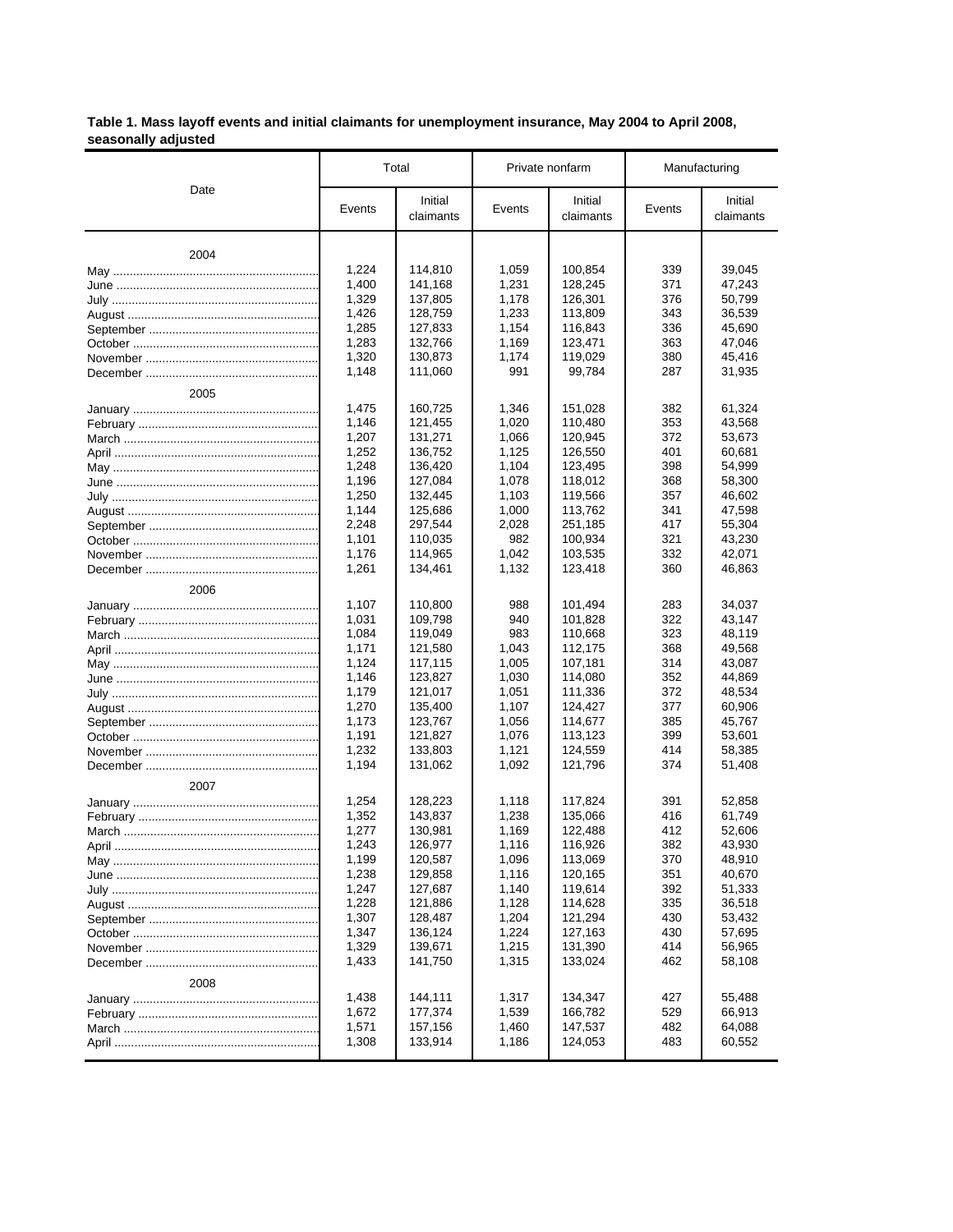**Table 1. Mass layoff events and initial claimants for unemployment insurance, May 2004 to April 2008, seasonally adjusted**

| ocasonany aaj |                | Total                |                | Private nonfarm      | Manufacturing |                      |  |
|---------------|----------------|----------------------|----------------|----------------------|---------------|----------------------|--|
| Date          | Events         | Initial<br>claimants | Events         | Initial<br>claimants | Events        | Initial<br>claimants |  |
| 2004          |                |                      |                |                      |               |                      |  |
|               | 1,224          | 114,810              | 1,059          | 100,854              | 339           | 39,045               |  |
|               | 1,400          | 141,168              | 1,231          | 128,245              | 371           | 47,243               |  |
|               | 1,329          | 137,805              | 1,178          | 126,301              | 376           | 50,799               |  |
|               | 1,426          | 128,759              | 1,233          | 113,809              | 343           | 36,539               |  |
|               | 1,285          | 127,833              | 1,154          | 116,843              | 336           | 45,690               |  |
|               | 1,283          | 132,766              | 1.169          | 123,471              | 363           | 47,046               |  |
|               | 1,320          | 130,873              | 1,174          | 119,029              | 380           | 45,416               |  |
|               | 1,148          | 111,060              | 991            | 99,784               | 287           | 31,935               |  |
| 2005          |                |                      |                |                      |               |                      |  |
|               |                |                      |                |                      |               |                      |  |
|               | 1,475          | 160,725              | 1,346          | 151,028              | 382           | 61,324               |  |
|               | 1,146          | 121,455              | 1,020          | 110,480              | 353<br>372    | 43,568               |  |
|               | 1,207          | 131,271              | 1,066          | 120,945<br>126,550   |               | 53,673               |  |
|               | 1,252<br>1,248 | 136,752              | 1,125<br>1,104 | 123,495              | 401<br>398    | 60,681<br>54,999     |  |
|               |                | 136,420              |                |                      | 368           |                      |  |
|               | 1,196<br>1,250 | 127,084              | 1,078          | 118,012              | 357           | 58,300               |  |
|               |                | 132,445              | 1,103          | 119,566              | 341           | 46,602               |  |
|               | 1,144<br>2,248 | 125,686<br>297,544   | 1,000<br>2,028 | 113,762<br>251,185   | 417           | 47,598<br>55,304     |  |
|               | 1,101          | 110.035              | 982            | 100,934              | 321           | 43,230               |  |
|               | 1,176          | 114,965              | 1,042          | 103,535              | 332           | 42,071               |  |
|               | 1,261          | 134,461              | 1,132          | 123,418              | 360           | 46,863               |  |
|               |                |                      |                |                      |               |                      |  |
| 2006          |                |                      |                |                      |               |                      |  |
|               | 1,107          | 110,800              | 988            | 101,494              | 283           | 34,037               |  |
|               | 1,031          | 109,798              | 940            | 101,828              | 322           | 43,147               |  |
|               | 1,084          | 119,049              | 983            | 110,668              | 323           | 48,119               |  |
|               | 1,171          | 121,580              | 1,043          | 112,175              | 368           | 49,568               |  |
|               | 1,124          | 117,115              | 1,005          | 107,181              | 314           | 43,087               |  |
|               | 1,146          | 123,827              | 1,030          | 114,080              | 352           | 44,869               |  |
|               | 1,179          | 121,017              | 1,051          | 111,336              | 372           | 48,534               |  |
|               | 1,270          | 135,400              | 1,107          | 124,427              | 377           | 60,906               |  |
|               | 1,173          | 123,767              | 1,056          | 114,677              | 385           | 45,767               |  |
|               | 1,191          | 121,827              | 1,076          | 113,123              | 399           | 53,601               |  |
|               | 1,232          | 133,803              | 1,121          | 124,559              | 414           | 58,385               |  |
|               | 1,194          | 131,062              | 1,092          | 121,796              | 374           | 51,408               |  |
| 2007          |                |                      |                |                      |               |                      |  |
|               | 1,254          | 128,223              | 1.118          | 117,824              | 391           | 52,858               |  |
|               | 1,352          | 143,837              | 1,238          | 135,066              | 416           | 61,749               |  |
|               | 1,277          | 130,981              | 1,169          | 122,488              | 412           | 52,606               |  |
|               | 1,243          | 126,977              | 1,116          | 116,926              | 382           | 43,930               |  |
|               | 1,199          | 120,587              | 1,096          | 113,069              | 370           | 48,910               |  |
|               | 1,238          | 129,858              | 1,116          | 120,165              | 351           | 40,670               |  |
|               | 1,247          | 127,687              | 1,140          | 119,614              | 392           | 51,333               |  |
|               | 1,228          | 121,886              | 1,128          | 114,628              | 335           | 36,518               |  |
|               | 1,307          | 128,487              | 1,204          | 121,294              | 430           | 53,432               |  |
|               | 1,347          | 136,124              | 1,224          | 127,163              | 430           | 57,695               |  |
|               | 1,329          | 139,671              | 1,215          | 131,390              | 414           | 56,965               |  |
|               | 1,433          | 141,750              | 1,315          | 133,024              | 462           | 58,108               |  |
|               |                |                      |                |                      |               |                      |  |
| 2008          |                |                      |                |                      |               |                      |  |
|               | 1,438          | 144,111              | 1,317          | 134,347              | 427           | 55,488               |  |
|               | 1,672          | 177,374              | 1,539          | 166,782              | 529           | 66,913               |  |
|               | 1,571          | 157,156              | 1,460          | 147,537              | 482           | 64,088               |  |
|               | 1,308          | 133,914              | 1,186          | 124,053              | 483           | 60,552               |  |
|               |                |                      |                |                      |               |                      |  |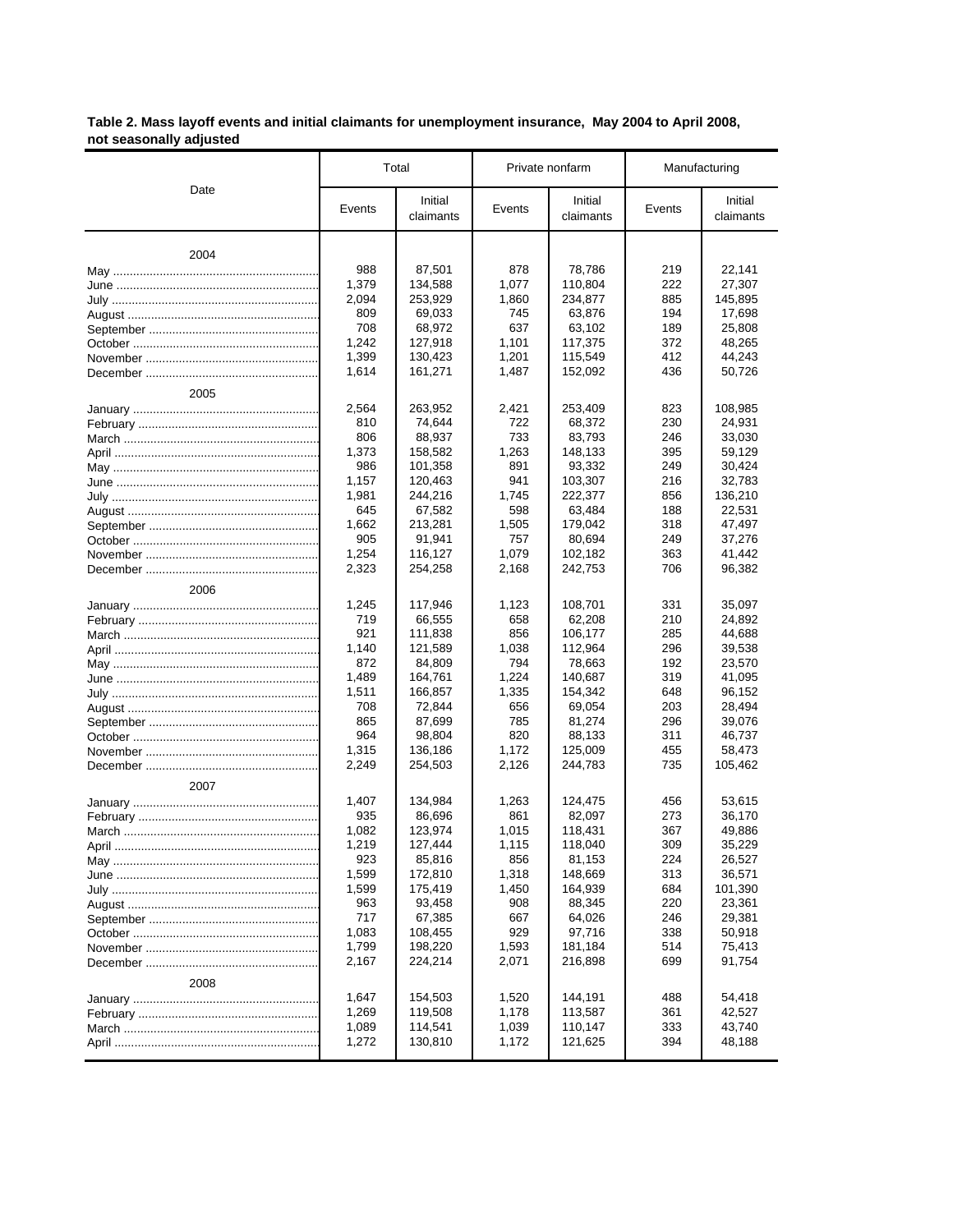**Table 2. Mass layoff events and initial claimants for unemployment insurance, May 2004 to April 2008, not seasonally adjusted**

| iot acaaoniany aujuatod |        | Total                |        | Private nonfarm      | Manufacturing |                      |  |
|-------------------------|--------|----------------------|--------|----------------------|---------------|----------------------|--|
| Date                    | Events | Initial<br>claimants | Events | Initial<br>claimants | Events        | Initial<br>claimants |  |
| 2004                    |        |                      |        |                      |               |                      |  |
|                         | 988    | 87,501               | 878    | 78,786               | 219           | 22,141               |  |
|                         | 1,379  | 134,588              | 1,077  | 110,804              | 222           | 27,307               |  |
|                         | 2,094  | 253,929              | 1,860  | 234,877              | 885           | 145,895              |  |
|                         | 809    | 69,033               | 745    | 63,876               | 194           | 17,698               |  |
|                         | 708    | 68,972               | 637    | 63,102               | 189           | 25,808               |  |
|                         | 1,242  | 127,918              | 1,101  | 117,375              | 372           | 48,265               |  |
|                         | 1,399  | 130,423              | 1,201  | 115,549              | 412           | 44,243               |  |
|                         | 1,614  | 161,271              | 1,487  | 152,092              | 436           | 50,726               |  |
| 2005                    |        |                      |        |                      |               |                      |  |
|                         | 2,564  | 263,952              | 2,421  | 253,409              | 823           | 108,985              |  |
|                         | 810    | 74,644               | 722    | 68,372               | 230           | 24,931               |  |
|                         | 806    | 88,937               | 733    | 83,793               | 246           | 33,030               |  |
|                         | 1,373  | 158,582              | 1,263  | 148,133              | 395           | 59,129               |  |
|                         | 986    | 101,358              | 891    | 93,332               | 249           | 30,424               |  |
|                         | 1,157  | 120,463              | 941    | 103,307              | 216           | 32,783               |  |
|                         | 1,981  | 244,216              | 1,745  | 222,377              | 856           | 136,210              |  |
|                         | 645    | 67,582               | 598    | 63,484               | 188           | 22,531               |  |
|                         | 1,662  | 213,281              | 1,505  | 179,042              | 318           | 47,497               |  |
|                         | 905    | 91,941               | 757    | 80,694               | 249           | 37,276               |  |
|                         | 1,254  | 116,127              | 1,079  | 102,182              | 363           | 41,442               |  |
|                         | 2,323  | 254,258              | 2,168  | 242,753              | 706           | 96,382               |  |
| 2006                    |        |                      |        |                      |               |                      |  |
|                         | 1,245  | 117,946              | 1,123  | 108,701              | 331           | 35,097               |  |
|                         | 719    | 66,555               | 658    | 62,208               | 210           | 24,892               |  |
|                         | 921    | 111,838              | 856    | 106,177              | 285           | 44,688               |  |
|                         | 1,140  | 121,589              | 1,038  | 112,964              | 296           | 39,538               |  |
|                         | 872    | 84,809               | 794    | 78,663               | 192           | 23,570               |  |
|                         | 1,489  | 164,761              | 1,224  | 140,687              | 319           | 41,095               |  |
|                         | 1,511  | 166,857              | 1,335  | 154,342              | 648           | 96,152               |  |
|                         | 708    | 72,844               | 656    | 69,054               | 203           | 28,494               |  |
|                         | 865    | 87,699               | 785    | 81,274               | 296           | 39,076               |  |
|                         | 964    | 98,804               | 820    | 88,133               | 311           | 46,737               |  |
|                         | 1,315  | 136,186              | 1,172  | 125,009              | 455           | 58,473               |  |
|                         | 2,249  | 254,503              | 2,126  | 244,783              | 735           | 105,462              |  |
| 2007                    |        |                      |        |                      |               |                      |  |
|                         | 1,407  | 134,984              | 1,263  | 124,475              | 456           | 53,615               |  |
|                         | 935    | 86,696               | 861    | 82,097               | 273           | 36,170               |  |
|                         | 1,082  | 123,974              | 1,015  | 118,431              | 367           | 49,886               |  |
|                         | 1,219  | 127,444              | 1,115  | 118,040              | 309           | 35,229               |  |
|                         | 923    | 85,816               | 856    | 81,153               | 224           | 26,527               |  |
|                         | 1,599  | 172,810              | 1,318  | 148,669              | 313           | 36,571               |  |
|                         | 1,599  | 175,419              | 1,450  | 164,939              | 684           | 101,390              |  |
|                         | 963    | 93,458               | 908    | 88,345               | 220           | 23,361               |  |
|                         | 717    | 67,385               | 667    | 64,026               | 246           | 29,381               |  |
|                         | 1,083  | 108,455              | 929    | 97,716               | 338           | 50,918               |  |
|                         | 1,799  | 198,220              | 1,593  | 181,184              | 514           | 75,413               |  |
|                         | 2,167  | 224,214              | 2,071  | 216,898              | 699           | 91,754               |  |
| 2008                    |        |                      |        |                      |               |                      |  |
|                         | 1,647  | 154,503              | 1,520  | 144,191              | 488           | 54,418               |  |
|                         | 1,269  | 119,508              | 1,178  | 113,587              | 361           | 42,527               |  |
|                         | 1,089  | 114,541              | 1,039  | 110,147              | 333           | 43,740               |  |
|                         | 1,272  | 130,810              | 1,172  | 121,625              | 394           | 48,188               |  |
|                         |        |                      |        |                      |               |                      |  |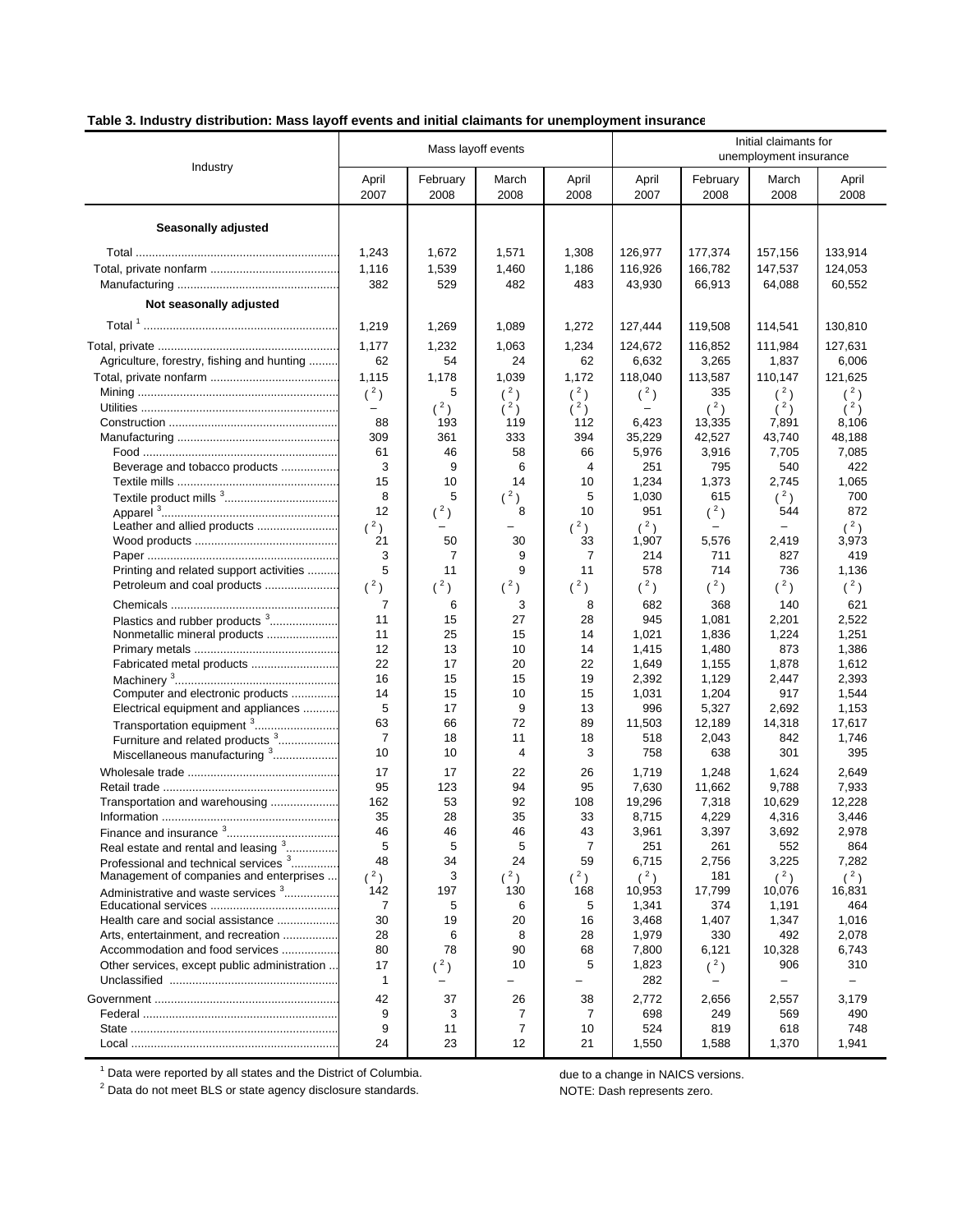### **Table 3. Industry distribution: Mass layoff events and initial claimants for unemployment insurance**

|                                                                                  |                      | Mass layoff events |                      |                | Initial claimants for<br>unemployment insurance |                  |                          |                          |
|----------------------------------------------------------------------------------|----------------------|--------------------|----------------------|----------------|-------------------------------------------------|------------------|--------------------------|--------------------------|
| Industry                                                                         | April<br>2007        | February<br>2008   | March<br>2008        | April<br>2008  | April<br>2007                                   | February<br>2008 | March<br>2008            | April<br>2008            |
| Seasonally adjusted                                                              |                      |                    |                      |                |                                                 |                  |                          |                          |
|                                                                                  | 1,243                | 1,672              | 1,571                | 1,308          | 126,977                                         | 177,374          | 157,156                  | 133,914                  |
|                                                                                  | 1,116                | 1,539              | 1,460                | 1,186          | 116,926                                         | 166,782          | 147,537                  | 124,053                  |
|                                                                                  | 382                  | 529                | 482                  | 483            | 43,930                                          | 66,913           | 64,088                   | 60,552                   |
| Not seasonally adjusted                                                          |                      |                    |                      |                |                                                 |                  |                          |                          |
|                                                                                  | 1,219                | 1,269              | 1,089                | 1,272          | 127,444                                         | 119,508          | 114,541                  | 130,810                  |
|                                                                                  | 1,177                | 1,232              | 1,063                | 1,234          | 124,672                                         | 116,852          | 111,984                  | 127,631                  |
| Agriculture, forestry, fishing and hunting                                       | 62                   | 54                 | 24                   | 62             | 6,632                                           | 3,265            | 1,837                    | 6,006                    |
|                                                                                  | 1,115                | 1,178              | 1,039                | 1,172          | 118,040                                         | 113,587          | 110,147                  | 121,625                  |
|                                                                                  | $(^2)$               | 5                  | $(^2)$               | $(^{2})$       | (2)                                             | 335              | $(^2)$                   | $(^2)$                   |
|                                                                                  |                      | $(^{2})$           | $(^2)$               | $(^2)$         |                                                 | $(^2)$           | $(^2)$                   | $(^2)$                   |
|                                                                                  | 88<br>309            | 193<br>361         | 119<br>333           | 112<br>394     | 6,423<br>35,229                                 | 13,335<br>42,527 | 7,891<br>43,740          | 8,106<br>48,188          |
|                                                                                  | 61                   | 46                 | 58                   | 66             | 5,976                                           | 3,916            | 7,705                    | 7,085                    |
| Beverage and tobacco products                                                    | 3                    | 9                  | 6                    | $\overline{4}$ | 251                                             | 795              | 540                      | 422                      |
|                                                                                  | 15                   | 10                 | 14                   | 10             | 1,234                                           | 1,373            | 2,745                    | 1,065                    |
|                                                                                  | 8                    | 5                  | $(^2)$               | 5              | 1,030                                           | 615              | $(^2)$                   | 700                      |
| Leather and allied products                                                      | 12                   | $(^{2})$           | 8                    | 10             | 951                                             | $(^2)$           | 544                      | 872                      |
|                                                                                  | $(^2)$<br>21         | 50                 | 30                   | $(^2)$<br>33   | $(^{2})$<br>1,907                               | 5,576            | 2,419                    | (2)<br>3,973             |
|                                                                                  | 3                    | 7                  | 9                    | 7              | 214                                             | 711              | 827                      | 419                      |
| Printing and related support activities                                          | 5                    | 11                 | 9                    | 11             | 578                                             | 714              | 736                      | 1,136                    |
| Petroleum and coal products                                                      | $(^2)$               | $(^2)$             | $({}^{2})$           | $(^2)$         | $(^2)$                                          | $(^{2})$         | $(^2)$                   | $(^2)$                   |
|                                                                                  | 7                    | 6                  | 3                    | 8              | 682                                             | 368              | 140                      | 621                      |
| Plastics and rubber products 3                                                   | 11                   | 15                 | 27                   | 28             | 945                                             | 1,081            | 2,201                    | 2,522                    |
| Nonmetallic mineral products                                                     | 11<br>12             | 25                 | 15                   | 14             | 1,021                                           | 1,836            | 1,224                    | 1,251                    |
|                                                                                  | 22                   | 13<br>17           | 10<br>20             | 14<br>22       | 1,415<br>1,649                                  | 1,480<br>1,155   | 873<br>1,878             | 1,386<br>1,612           |
|                                                                                  | 16                   | 15                 | 15                   | 19             | 2,392                                           | 1,129            | 2,447                    | 2,393                    |
| Computer and electronic products                                                 | 14                   | 15                 | 10                   | 15             | 1,031                                           | 1,204            | 917                      | 1,544                    |
| Electrical equipment and appliances                                              | 5                    | 17                 | 9                    | 13             | 996                                             | 5,327            | 2,692                    | 1,153                    |
| Transportation equipment 3                                                       | 63                   | 66                 | 72                   | 89             | 11,503                                          | 12,189           | 14,318                   | 17,617                   |
| Furniture and related products 3<br>Miscellaneous manufacturing 3                | $\overline{7}$<br>10 | 18<br>10           | 11<br>$\overline{4}$ | 18<br>3        | 518<br>758                                      | 2,043<br>638     | 842<br>301               | 1,746<br>395             |
|                                                                                  |                      |                    |                      |                |                                                 |                  |                          |                          |
|                                                                                  | 17<br>95             | 17<br>123          | 22<br>94             | 26<br>95       | 1,719<br>7,630                                  | 1,248<br>11,662  | 1,624<br>9,788           | 2,649<br>7,933           |
| Transportation and warehousing                                                   | 162                  | 53                 | 92                   | 108            | 19,296                                          | 7,318            | 10,629                   | 12,228                   |
|                                                                                  | 35                   | 28                 | 35                   | 33             | 8,715                                           | 4,229            | 4,316                    | 3,446                    |
|                                                                                  | 46                   | 46                 | 46                   | 43             | 3,961                                           | 3,397            | 3,692                    | 2,978                    |
| Real estate and rental and leasing 3                                             | 5<br>48              | 5<br>34            | 5<br>24              | 7<br>59        | 251                                             | 261              | 552                      | 864                      |
| Professional and technical services 3<br>Management of companies and enterprises | $(^2)$               | 3                  | $(^2)$               | $(^2)$         | 6,715<br>$(^2)$                                 | 2,756<br>181     | 3,225<br>$(^2)$          | 7,282<br>$(^2)$          |
| Administrative and waste services 3                                              | 142                  | 197                | 130                  | 168            | 10,953                                          | 17,799           | 10,076                   | 16,831                   |
|                                                                                  | 7                    | 5                  | 6                    | 5              | 1,341                                           | 374              | 1,191                    | 464                      |
| Health care and social assistance                                                | 30                   | 19                 | 20                   | 16             | 3,468                                           | 1,407            | 1,347                    | 1,016                    |
| Arts, entertainment, and recreation                                              | 28                   | 6                  | 8                    | 28             | 1,979                                           | 330              | 492                      | 2,078                    |
| Accommodation and food services<br>Other services, except public administration  | 80<br>17             | 78<br>$({}^{2})$   | 90<br>10             | 68<br>5        | 7,800<br>1,823                                  | 6,121<br>$(^2)$  | 10,328<br>906            | 6,743<br>310             |
|                                                                                  | $\mathbf{1}$         |                    |                      |                | 282                                             |                  | $\overline{\phantom{0}}$ | $\overline{\phantom{0}}$ |
|                                                                                  | 42                   | 37                 | 26                   | 38             | 2,772                                           | 2,656            | 2,557                    | 3,179                    |
|                                                                                  | 9                    | 3                  | 7                    | 7              | 698                                             | 249              | 569                      | 490                      |
|                                                                                  | 9                    | 11                 | 7                    | 10             | 524                                             | 819              | 618                      | 748                      |
|                                                                                  | 24                   | 23                 | 12                   | 21             | 1,550                                           | 1,588            | 1,370                    | 1,941                    |

<sup>1</sup> Data were reported by all states and the District of Columbia. The mannel of the to a change in NAICS versions.

<sup>2</sup> Data do not meet BLS or state agency disclosure standards. NOTE: Dash represents zero.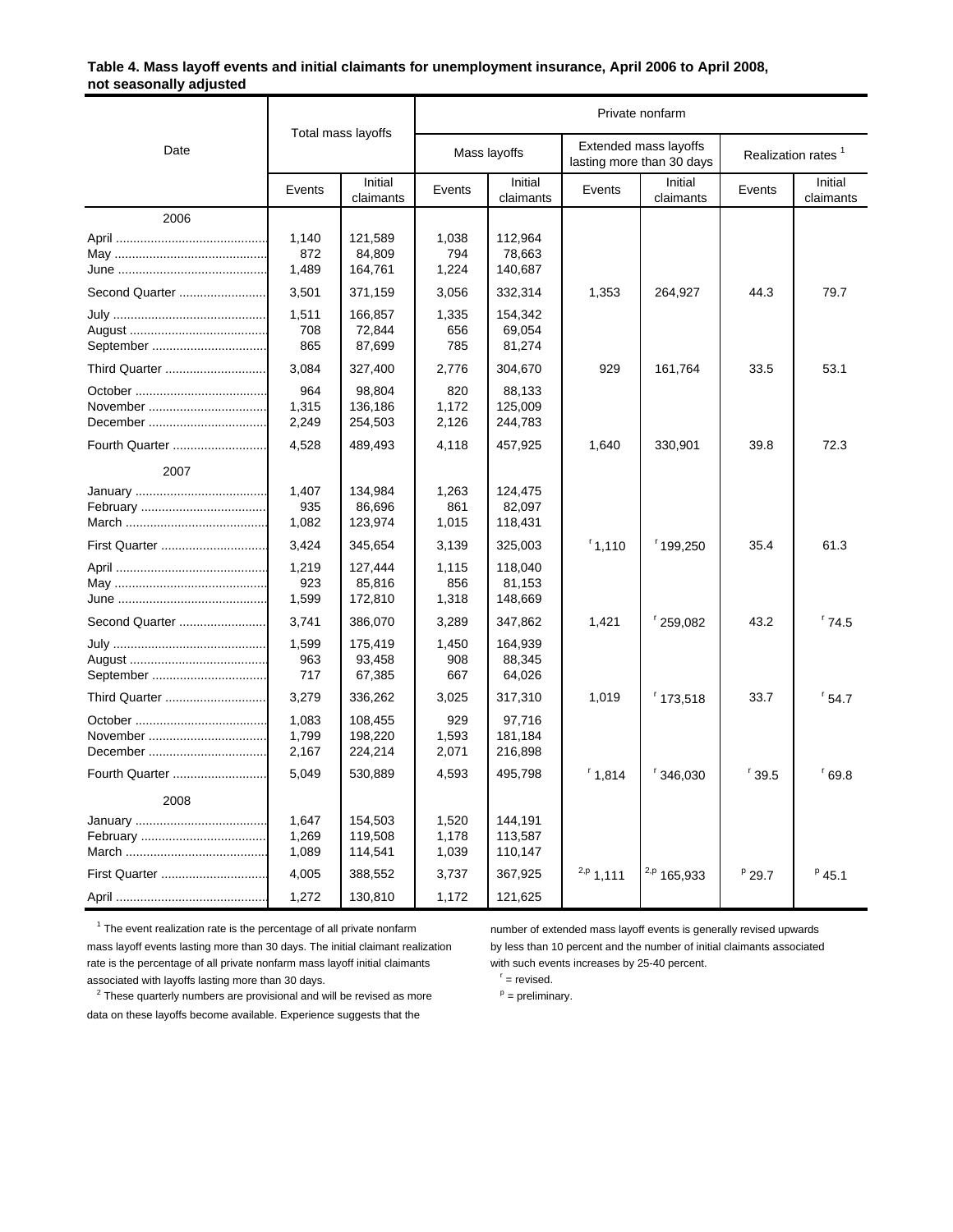### **Table 4. Mass layoff events and initial claimants for unemployment insurance, April 2006 to April 2008, not seasonally adjusted**

|                      |                         |                               | Private nonfarm         |                               |                |                                                    |                                |                      |  |  |  |
|----------------------|-------------------------|-------------------------------|-------------------------|-------------------------------|----------------|----------------------------------------------------|--------------------------------|----------------------|--|--|--|
| Date                 | Total mass layoffs      |                               |                         | Mass layoffs                  |                | Extended mass layoffs<br>lasting more than 30 days | Realization rates <sup>1</sup> |                      |  |  |  |
|                      | Events                  | Initial<br>claimants          | Events                  | Initial<br>claimants          | Events         | Initial<br>claimants                               | Events                         | Initial<br>claimants |  |  |  |
| 2006                 |                         |                               |                         |                               |                |                                                    |                                |                      |  |  |  |
|                      | 1,140<br>872<br>1,489   | 121,589<br>84,809<br>164,761  | 1,038<br>794<br>1,224   | 112,964<br>78,663<br>140,687  |                |                                                    |                                |                      |  |  |  |
| Second Quarter       | 3,501                   | 371,159                       | 3,056                   | 332,314                       | 1,353          | 264,927                                            | 44.3                           | 79.7                 |  |  |  |
| September            | 1,511<br>708<br>865     | 166,857<br>72,844<br>87,699   | 1,335<br>656<br>785     | 154,342<br>69,054<br>81,274   |                |                                                    |                                |                      |  |  |  |
| Third Quarter        | 3,084                   | 327,400                       | 2,776                   | 304,670                       | 929            | 161,764                                            | 33.5                           | 53.1                 |  |  |  |
| November             | 964<br>1,315<br>2,249   | 98.804<br>136,186<br>254,503  | 820<br>1,172<br>2,126   | 88.133<br>125,009<br>244,783  |                |                                                    |                                |                      |  |  |  |
| Fourth Quarter       | 4,528                   | 489,493                       | 4,118                   | 457,925                       | 1,640          | 330,901                                            | 39.8                           | 72.3                 |  |  |  |
| 2007                 |                         |                               |                         |                               |                |                                                    |                                |                      |  |  |  |
|                      | 1,407<br>935<br>1,082   | 134,984<br>86,696<br>123,974  | 1,263<br>861<br>1,015   | 124,475<br>82,097<br>118,431  |                |                                                    |                                |                      |  |  |  |
| First Quarter        | 3,424                   | 345,654                       | 3,139                   | 325,003                       | 1,110          | 199,250                                            | 35.4                           | 61.3                 |  |  |  |
|                      | 1,219<br>923<br>1,599   | 127,444<br>85,816<br>172,810  | 1,115<br>856<br>1,318   | 118,040<br>81,153<br>148,669  |                |                                                    |                                |                      |  |  |  |
| Second Quarter       | 3,741                   | 386,070                       | 3,289                   | 347,862                       | 1,421          | 259,082                                            | 43.2                           | 574.5                |  |  |  |
| September            | 1,599<br>963<br>717     | 175,419<br>93,458<br>67,385   | 1,450<br>908<br>667     | 164,939<br>88,345<br>64,026   |                |                                                    |                                |                      |  |  |  |
| Third Quarter        | 3,279                   | 336,262                       | 3,025                   | 317,310                       | 1,019          | 173,518                                            | 33.7                           | 54.7                 |  |  |  |
| November<br>December | 1,083<br>1,799<br>2,167 | 108,455<br>198,220<br>224,214 | 929<br>1,593<br>2,071   | 97,716<br>181,184<br>216,898  |                |                                                    |                                |                      |  |  |  |
| Fourth Quarter       | 5,049                   | 530,889                       | 4,593                   | 495,798                       | 1,814          | 1346,030                                           | $1^{\circ}$ 39.5               | 569.8                |  |  |  |
| 2008                 |                         |                               |                         |                               |                |                                                    |                                |                      |  |  |  |
|                      | 1,647<br>1,269<br>1,089 | 154,503<br>119,508<br>114,541 | 1,520<br>1,178<br>1,039 | 144,191<br>113,587<br>110,147 |                |                                                    |                                |                      |  |  |  |
| First Quarter        | 4,005                   | 388,552                       | 3,737                   | 367,925                       | $^{2,p}$ 1,111 | $2, p$ 165,933                                     | $P$ 29.7                       | $P$ 45.1             |  |  |  |
|                      | 1,272                   | 130,810                       | 1,172                   | 121,625                       |                |                                                    |                                |                      |  |  |  |

<sup>1</sup> The event realization rate is the percentage of all private nonfarm number of extended mass layoff events is generally revised upwards

rate is the percentage of all private nonfarm mass layoff initial claimants with such events increases by 25-40 percent. associated with layoffs lasting more than 30 days.  $r = r$ evised.

<sup>2</sup> These quarterly numbers are provisional and will be revised as more  $P =$  preliminary. data on these layoffs become available. Experience suggests that the

mass layoff events lasting more than 30 days. The initial claimant realization by less than 10 percent and the number of initial claimants associated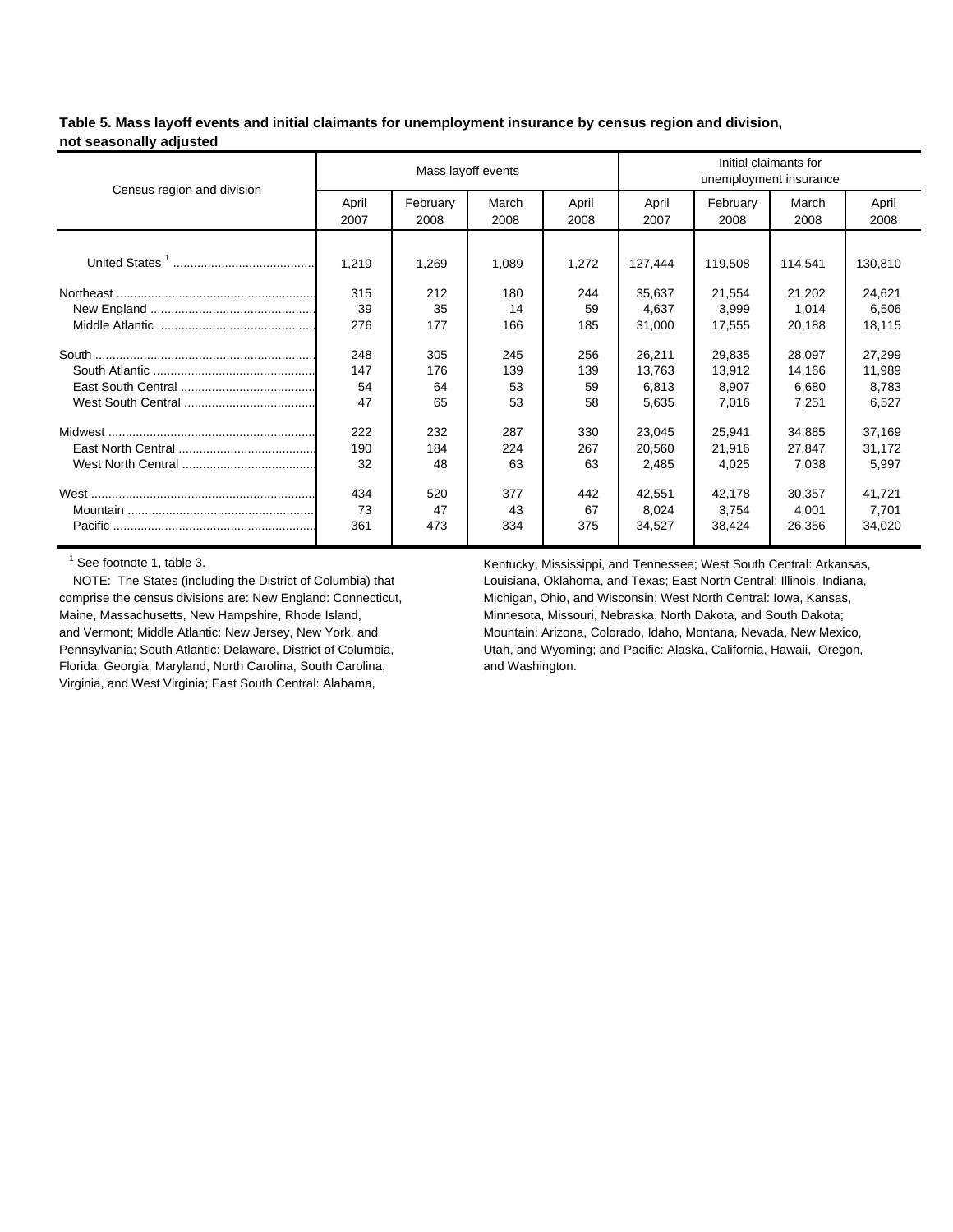**Table 5. Mass layoff events and initial claimants for unemployment insurance by census region and division, not seasonally adjusted**

| Census region and division |               |                  | Mass layoff events |               | Initial claimants for<br>unemployment insurance |                  |               |               |
|----------------------------|---------------|------------------|--------------------|---------------|-------------------------------------------------|------------------|---------------|---------------|
|                            | April<br>2007 | February<br>2008 | March<br>2008      | April<br>2008 | April<br>2007                                   | February<br>2008 | March<br>2008 | April<br>2008 |
|                            | 1,219         | 1,269            | 1,089              | 1,272         | 127,444                                         | 119,508          | 114,541       | 130,810       |
|                            | 315           | 212              | 180                | 244           | 35,637                                          | 21,554           | 21,202        | 24,621        |
|                            | 39            | 35               | 14                 | 59            | 4,637                                           | 3,999            | 1,014         | 6,506         |
|                            | 276           | 177              | 166                | 185           | 31,000                                          | 17,555           | 20,188        | 18,115        |
|                            | 248           | 305              | 245                | 256           | 26,211                                          | 29,835           | 28,097        | 27,299        |
|                            | 147           | 176              | 139                | 139           | 13,763                                          | 13,912           | 14,166        | 11,989        |
|                            | 54            | 64               | 53                 | 59            | 6,813                                           | 8,907            | 6.680         | 8,783         |
|                            | 47            | 65               | 53                 | 58            | 5,635                                           | 7,016            | 7,251         | 6,527         |
|                            | 222           | 232              | 287                | 330           | 23.045                                          | 25,941           | 34.885        | 37,169        |
|                            | 190           | 184              | 224                | 267           | 20.560                                          | 21,916           | 27,847        | 31,172        |
|                            | 32            | 48               | 63                 | 63            | 2,485                                           | 4,025            | 7,038         | 5,997         |
|                            | 434           | 520              | 377                | 442           | 42.551                                          | 42,178           | 30,357        | 41,721        |
|                            | 73            | 47               | 43                 | 67            | 8,024                                           | 3,754            | 4,001         | 7,701         |
|                            | 361           | 473              | 334                | 375           | 34,527                                          | 38,424           | 26,356        | 34,020        |

 $1$  See footnote 1, table 3.

Florida, Georgia, Maryland, North Carolina, South Carolina, and Washington. Virginia, and West Virginia; East South Central: Alabama,

Kentucky, Mississippi, and Tennessee; West South Central: Arkansas, NOTE: The States (including the District of Columbia) that Louisiana, Oklahoma, and Texas; East North Central: Illinois, Indiana, comprise the census divisions are: New England: Connecticut, Michigan, Ohio, and Wisconsin; West North Central: Iowa, Kansas, Maine, Massachusetts, New Hampshire, Rhode Island, Minnesota, Minnesota, Missouri, Nebraska, North Dakota, and South Dakota; and Vermont; Middle Atlantic: New Jersey, New York, and Mountain: Arizona, Colorado, Idaho, Montana, Nevada, New Mexico, Pennsylvania; South Atlantic: Delaware, District of Columbia, Utah, and Wyoming; and Pacific: Alaska, California, Hawaii, Oregon,